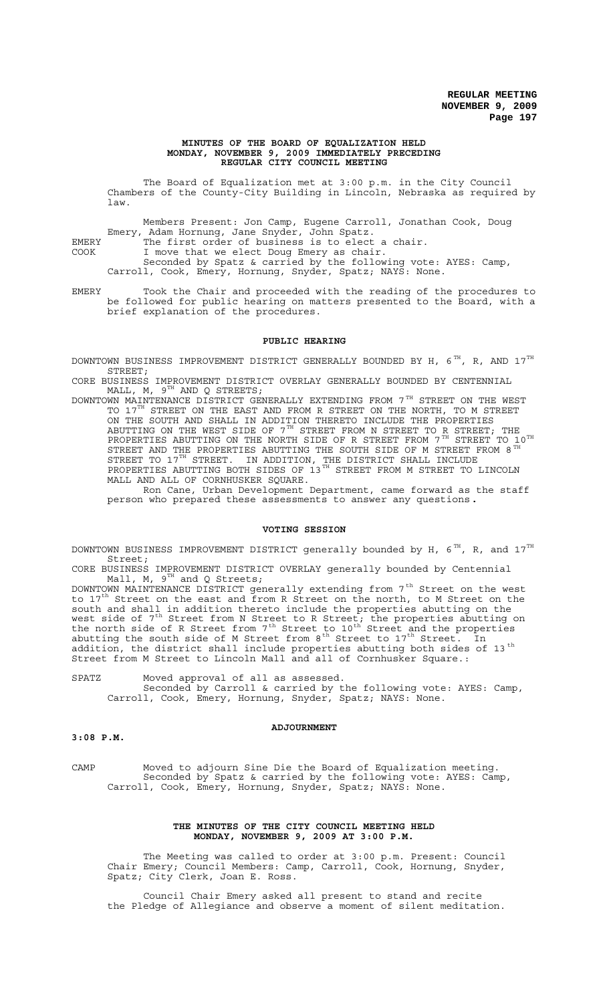#### **MINUTES OF THE BOARD OF EQUALIZATION HELD MONDAY, NOVEMBER 9, 2009 IMMEDIATELY PRECEDING REGULAR CITY COUNCIL MEETING**

The Board of Equalization met at 3:00 p.m. in the City Council Chambers of the County-City Building in Lincoln, Nebraska as required by law.

Members Present: Jon Camp, Eugene Carroll, Jonathan Cook, Doug Emery, Adam Hornung, Jane Snyder, John Spatz.

EMERY The first order of business is to elect a chair.

COOK I move that we elect Doug Emery as chair.

Seconded by Spatz & carried by the following vote: AYES: Camp, Carroll, Cook, Emery, Hornung, Snyder, Spatz; NAYS: None.

EMERY Took the Chair and proceeded with the reading of the procedures to be followed for public hearing on matters presented to the Board, with a brief explanation of the procedures.

#### **PUBLIC HEARING**

DOWNTOWN BUSINESS IMPROVEMENT DISTRICT GENERALLY BOUNDED BY H,  $6^{TH}$ , R, AND  $17^{TH}$ STREET;

CORE BUSINESS IMPROVEMENT DISTRICT OVERLAY GENERALLY BOUNDED BY CENTENNIAL MALL, M,  $9^{TH}$  AND Q STREETS; MALL, M,  $9^{TH}$  AND Q STREETS;

DOWNTOWN MAINTENANCE DISTRICT GENERALLY EXTENDING FROM  $7^\mathrm{TH}$  STREET ON THE WEST TO 17<sup>TH</sup> STREET ON THE EAST AND FROM R STREET ON THE NORTH, TO M STREET ON THE SOUTH AND SHALL IN ADDITION THERETO INCLUDE THE PROPERTIES ABUTTING ON THE WEST SIDE OF  $7^{\text{\tiny{TH}}}$  STREET FROM N STREET TO R STREET; THE PROPERTIES ABUTTING ON THE NORTH SIDE OF R STREET FROM  $7^{TH}$  STREET TO  $10^{TH}$ STREET AND THE PROPERTIES ABUTTING THE SOUTH SIDE OF M STREET FROM 8  $^{\tt TH}$ STREET TO 17<sup>TH</sup> STREET. IN ADDITION, THE DISTRICT SHALL INCLUDE PROPERTIES ABUTTING BOTH SIDES OF 13<sup>TH</sup> STREET FROM M STREET TO LINCOLN MALL AND ALL OF CORNHUSKER SQUARE. MALL AND ALL OF CORNHUSKER SQUARE.<br>Ron Cane, Urban Development Department, came forward as the staff

person who prepared these assessments to answer any questions**.**

#### **VOTING SESSION**

DOWNTOWN BUSINESS IMPROVEMENT DISTRICT generally bounded by H,  $6<sup>TH</sup>$ , R, and  $17<sup>TH</sup>$ Street;

CORE BUSINESS IMPROVEMENT DISTRICT OVERLAY generally bounded by Centennial Mall, M,  $9^{TH}$  and Q Streets;

DOWNTOWN MAINTENANCE DISTRICT generally extending from  $7^\mathrm{th}$  Street on the west to 17<sup>th</sup> Street on the east and from R Street on the north, to M Street on the south and shall in addition thereto include the properties abutting on the west side of 7<sup>th</sup> Street from N Street to R Street; the properties abutting on the north side of R Street from  $7<sup>th</sup>$  Street to  $10<sup>th</sup>$  Street and the properties abutting the south side of M Street from 8<sup>th</sup> Street to 17<sup>th</sup> Street. In addition, the district shall include properties abutting both sides of 13  $^{\rm th}$ Street from M Street to Lincoln Mall and all of Cornhusker Square.:

SPATZ Moved approval of all as assessed. Seconded by Carroll & carried by the following vote: AYES: Camp, Carroll, Cook, Emery, Hornung, Snyder, Spatz; NAYS: None.

#### **ADJOURNMENT**

# **3:08 P.M.**

CAMP Moved to adjourn Sine Die the Board of Equalization meeting. Seconded by Spatz & carried by the following vote: AYES: Camp, Carroll, Cook, Emery, Hornung, Snyder, Spatz; NAYS: None.

#### **THE MINUTES OF THE CITY COUNCIL MEETING HELD MONDAY, NOVEMBER 9, 2009 AT 3:00 P.M.**

The Meeting was called to order at 3:00 p.m. Present: Council Chair Emery; Council Members: Camp, Carroll, Cook, Hornung, Snyder, Spatz; City Clerk, Joan E. Ross.

Council Chair Emery asked all present to stand and recite the Pledge of Allegiance and observe a moment of silent meditation.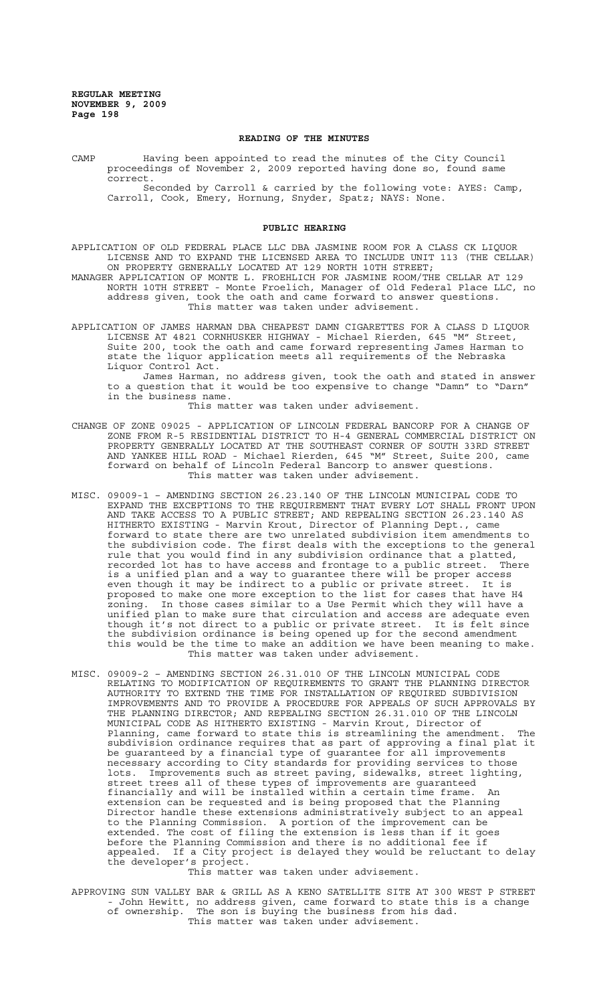#### **READING OF THE MINUTES**

CAMP Having been appointed to read the minutes of the City Council proceedings of November 2, 2009 reported having done so, found same correct. Seconded by Carroll & carried by the following vote: AYES: Camp, Carroll, Cook, Emery, Hornung, Snyder, Spatz; NAYS: None.

#### **PUBLIC HEARING**

APPLICATION OF OLD FEDERAL PLACE LLC DBA JASMINE ROOM FOR A CLASS CK LIQUOR LICENSE AND TO EXPAND THE LICENSED AREA TO INCLUDE UNIT 113 (THE CELLAR) ON PROPERTY GENERALLY LOCATED AT 129 NORTH 10TH STREET;

MANAGER APPLICATION OF MONTE L. FROEHLICH FOR JASMINE ROOM/THE CELLAR AT 129 NORTH 10TH STREET - Monte Froelich, Manager of Old Federal Place LLC, no address given, took the oath and came forward to answer questions. This matter was taken under advisement.

APPLICATION OF JAMES HARMAN DBA CHEAPEST DAMN CIGARETTES FOR A CLASS D LIQUOR LICENSE AT 4821 CORNHUSKER HIGHWAY - Michael Rierden, 645 "M" Street, Suite 200, took the oath and came forward representing James Harman to state the liquor application meets all requirements of the Nebraska Liquor Control Act.

James Harman, no address given, took the oath and stated in answer to a question that it would be too expensive to change "Damn" to "Darn" in the business name.

This matter was taken under advisement.

- CHANGE OF ZONE 09025 APPLICATION OF LINCOLN FEDERAL BANCORP FOR A CHANGE OF ZONE FROM R-5 RESIDENTIAL DISTRICT TO H-4 GENERAL COMMERCIAL DISTRICT ON PROPERTY GENERALLY LOCATED AT THE SOUTHEAST CORNER OF SOUTH 33RD STREET AND YANKEE HILL ROAD - Michael Rierden, 645 "M" Street, Suite 200, came forward on behalf of Lincoln Federal Bancorp to answer questions. This matter was taken under advisement.
- MISC. 09009-1 AMENDING SECTION 26.23.140 OF THE LINCOLN MUNICIPAL CODE TO EXPAND THE EXCEPTIONS TO THE REQUIREMENT THAT EVERY LOT SHALL FRONT UPON AND TAKE ACCESS TO A PUBLIC STREET; AND REPEALING SECTION 26.23.140 AS HITHERTO EXISTING - Marvin Krout, Director of Planning Dept., came forward to state there are two unrelated subdivision item amendments to the subdivision code. The first deals with the exceptions to the general rule that you would find in any subdivision ordinance that a platted, recorded lot has to have access and frontage to a public street. There is a unified plan and a way to guarantee there will be proper access even though it may be indirect to a public or private street. It is proposed to make one more exception to the list for cases that have H4 zoning. In those cases similar to a Use Permit which they will have a unified plan to make sure that circulation and access are adequate even though it's not direct to a public or private street. It is felt since the subdivision ordinance is being opened up for the second amendment this would be the time to make an addition we have been meaning to make. This matter was taken under advisement.
- MISC. 09009-2 AMENDING SECTION 26.31.010 OF THE LINCOLN MUNICIPAL CODE RELATING TO MODIFICATION OF REQUIREMENTS TO GRANT THE PLANNING DIRECTOR AUTHORITY TO EXTEND THE TIME FOR INSTALLATION OF REQUIRED SUBDIVISION IMPROVEMENTS AND TO PROVIDE A PROCEDURE FOR APPEALS OF SUCH APPROVALS BY THE PLANNING DIRECTOR; AND REPEALING SECTION 26.31.010 OF THE LINCOLN MUNICIPAL CODE AS HITHERTO EXISTING - Marvin Krout, Director of Planning, came forward to state this is streamlining the amendment. The subdivision ordinance requires that as part of approving a final plat it be guaranteed by a financial type of guarantee for all improvements necessary according to City standards for providing services to those lots. Improvements such as street paving, sidewalks, street lighting, street trees all of these types of improvements are guaranteed financially and will be installed within a certain time frame. An extension can be requested and is being proposed that the Planning Director handle these extensions administratively subject to an appeal to the Planning Commission. A portion of the improvement can be extended. The cost of filing the extension is less than if it goes before the Planning Commission and there is no additional fee if appealed. If a City project is delayed they would be reluctant to delay the developer's project.

This matter was taken under advisement.

APPROVING SUN VALLEY BAR & GRILL AS A KENO SATELLITE SITE AT 300 WEST P STREET - John Hewitt, no address given, came forward to state this is a change of ownership. The son is buying the business from his dad. This matter was taken under advisement.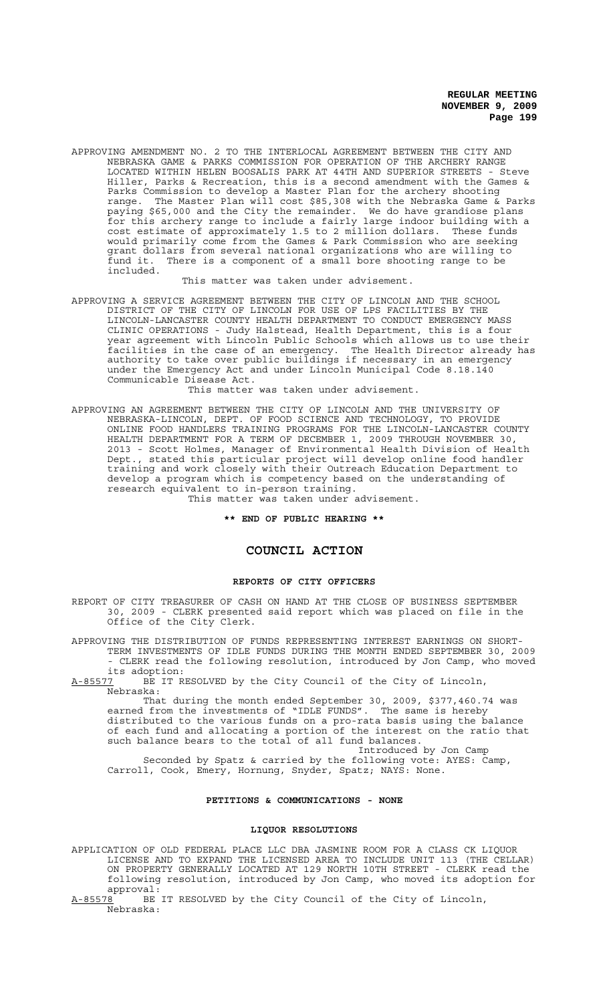APPROVING AMENDMENT NO. 2 TO THE INTERLOCAL AGREEMENT BETWEEN THE CITY AND NEBRASKA GAME & PARKS COMMISSION FOR OPERATION OF THE ARCHERY RANGE LOCATED WITHIN HELEN BOOSALIS PARK AT 44TH AND SUPERIOR STREETS - Steve Hiller, Parks & Recreation, this is a second amendment with the Games & Parks Commission to develop a Master Plan for the archery shooting range. The Master Plan will cost \$85,308 with the Nebraska Game & Parks paying \$65,000 and the City the remainder. We do have grandiose plans for this archery range to include a fairly large indoor building with a cost estimate of approximately 1.5 to 2 million dollars. These funds would primarily come from the Games & Park Commission who are seeking grant dollars from several national organizations who are willing to<br>fund it. There is a component of a small bore shooting range to be There is a component of a small bore shooting range to be included.

This matter was taken under advisement.

APPROVING A SERVICE AGREEMENT BETWEEN THE CITY OF LINCOLN AND THE SCHOOL DISTRICT OF THE CITY OF LINCOLN FOR USE OF LPS FACILITIES BY THE LINCOLN-LANCASTER COUNTY HEALTH DEPARTMENT TO CONDUCT EMERGENCY MASS CLINIC OPERATIONS - Judy Halstead, Health Department, this is a four year agreement with Lincoln Public Schools which allows us to use their facilities in the case of an emergency. The Health Director already has authority to take over public buildings if necessary in an emergency under the Emergency Act and under Lincoln Municipal Code 8.18.140 Communicable Disease Act.

This matter was taken under advisement.

APPROVING AN AGREEMENT BETWEEN THE CITY OF LINCOLN AND THE UNIVERSITY OF NEBRASKA-LINCOLN, DEPT. OF FOOD SCIENCE AND TECHNOLOGY, TO PROVIDE ONLINE FOOD HANDLERS TRAINING PROGRAMS FOR THE LINCOLN-LANCASTER COUNTY HEALTH DEPARTMENT FOR A TERM OF DECEMBER 1, 2009 THROUGH NOVEMBER 30, 2013 - Scott Holmes, Manager of Environmental Health Division of Health Dept., stated this particular project will develop online food handler training and work closely with their Outreach Education Department to develop a program which is competency based on the understanding of research equivalent to in-person training. This matter was taken under advisement.

**\*\* END OF PUBLIC HEARING \*\***

# **COUNCIL ACTION**

#### **REPORTS OF CITY OFFICERS**

REPORT OF CITY TREASURER OF CASH ON HAND AT THE CLOSE OF BUSINESS SEPTEMBER 30, 2009 - CLERK presented said report which was placed on file in the Office of the City Clerk.

APPROVING THE DISTRIBUTION OF FUNDS REPRESENTING INTEREST EARNINGS ON SHORT-TERM INVESTMENTS OF IDLE FUNDS DURING THE MONTH ENDED SEPTEMBER 30, 2009 - CLERK read the following resolution, introduced by Jon Camp, who moved

its adoption:<br><u>A-85577</u> BE IT R BE IT RESOLVED by the City Council of the City of Lincoln, Nebraska:

That during the month ended September 30, 2009, \$377,460.74 was earned from the investments of "IDLE FUNDS". The same is hereby distributed to the various funds on a pro-rata basis using the balance of each fund and allocating a portion of the interest on the ratio that such balance bears to the total of all fund balances.

Introduced by Jon Camp Seconded by Spatz & carried by the following vote: AYES: Camp, Carroll, Cook, Emery, Hornung, Snyder, Spatz; NAYS: None.

# **PETITIONS & COMMUNICATIONS - NONE**

#### **LIQUOR RESOLUTIONS**

APPLICATION OF OLD FEDERAL PLACE LLC DBA JASMINE ROOM FOR A CLASS CK LIQUOR LICENSE AND TO EXPAND THE LICENSED AREA TO INCLUDE UNIT 113 (THE CELLAR) ON PROPERTY GENERALLY LOCATED AT 129 NORTH 10TH STREET - CLERK read the following resolution, introduced by Jon Camp, who moved its adoption for

approval:<br><u>A-85578</u> BE BE IT RESOLVED by the City Council of the City of Lincoln, Nebraska: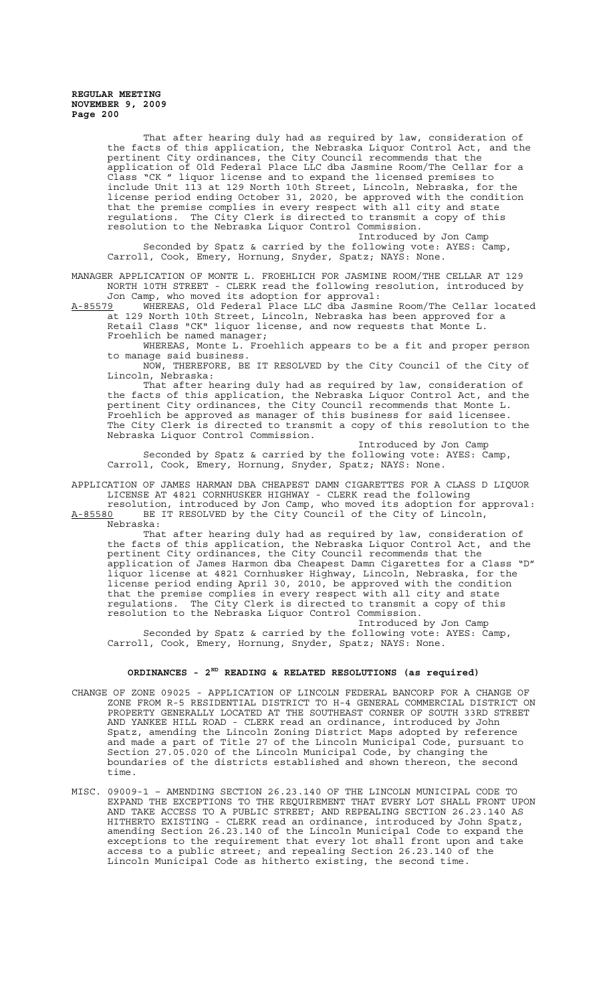That after hearing duly had as required by law, consideration of the facts of this application, the Nebraska Liquor Control Act, and the pertinent City ordinances, the City Council recommends that the application of Old Federal Place LLC dba Jasmine Room/The Cellar for a Class "CK " liquor license and to expand the licensed premises to include Unit 113 at 129 North 10th Street, Lincoln, Nebraska, for the license period ending October 31, 2020, be approved with the condition that the premise complies in every respect with all city and state regulations. The City Clerk is directed to transmit a copy of this resolution to the Nebraska Liquor Control Commission.

Introduced by Jon Camp Seconded by Spatz & carried by the following vote: AYES: Camp, Carroll, Cook, Emery, Hornung, Snyder, Spatz; NAYS: None.

MANAGER APPLICATION OF MONTE L. FROEHLICH FOR JASMINE ROOM/THE CELLAR AT 129 NORTH 10TH STREET - CLERK read the following resolution, introduced by Jon Camp, who moved its adoption for approval:

A-85579 MHEREAS, Old Federal Place LLC dba Jasmine Room/The Cellar located at 129 North 10th Street, Lincoln, Nebraska has been approved for a Retail Class "CK" liquor license, and now requests that Monte L. Froehlich be named manager;

WHEREAS, Monte L. Froehlich appears to be a fit and proper person to manage said business.

NOW, THEREFORE, BE IT RESOLVED by the City Council of the City of Lincoln, Nebraska:

That after hearing duly had as required by law, consideration of the facts of this application, the Nebraska Liquor Control Act, and the pertinent City ordinances, the City Council recommends that Monte L. Froehlich be approved as manager of this business for said licensee. The City Clerk is directed to transmit a copy of this resolution to the Nebraska Liquor Control Commission.

Introduced by Jon Camp Seconded by Spatz & carried by the following vote: AYES: Camp, Carroll, Cook, Emery, Hornung, Snyder, Spatz; NAYS: None.

APPLICATION OF JAMES HARMAN DBA CHEAPEST DAMN CIGARETTES FOR A CLASS D LIQUOR LICENSE AT 4821 CORNHUSKER HIGHWAY - CLERK read the following

resolution, introduced by Jon Camp, who moved its adoption for approval: A-85580 BE IT RESOLVED by the City Council of the City of Lincoln, Nebraska:

That after hearing duly had as required by law, consideration of the facts of this application, the Nebraska Liquor Control Act, and the pertinent City ordinances, the City Council recommends that the application of James Harmon dba Cheapest Damn Cigarettes for a Class "D" liquor license at 4821 Cornhusker Highway, Lincoln, Nebraska, for the license period ending April 30, 2010, be approved with the condition that the premise complies in every respect with all city and state regulations. The City Clerk is directed to transmit a copy of this resolution to the Nebraska Liquor Control Commission.

Introduced by Jon Camp Seconded by Spatz & carried by the following vote: AYES: Camp, Carroll, Cook, Emery, Hornung, Snyder, Spatz; NAYS: None.

# **ORDINANCES - 2ND READING & RELATED RESOLUTIONS (as required)**

- CHANGE OF ZONE 09025 APPLICATION OF LINCOLN FEDERAL BANCORP FOR A CHANGE OF ZONE FROM R-5 RESIDENTIAL DISTRICT TO H-4 GENERAL COMMERCIAL DISTRICT ON PROPERTY GENERALLY LOCATED AT THE SOUTHEAST CORNER OF SOUTH 33RD STREET AND YANKEE HILL ROAD - CLERK read an ordinance, introduced by John Spatz, amending the Lincoln Zoning District Maps adopted by reference and made a part of Title 27 of the Lincoln Municipal Code, pursuant to Section 27.05.020 of the Lincoln Municipal Code, by changing the boundaries of the districts established and shown thereon, the second time.
- MISC. 09009-1 AMENDING SECTION 26.23.140 OF THE LINCOLN MUNICIPAL CODE TO EXPAND THE EXCEPTIONS TO THE REQUIREMENT THAT EVERY LOT SHALL FRONT UPON AND TAKE ACCESS TO A PUBLIC STREET; AND REPEALING SECTION 26.23.140 AS HITHERTO EXISTING - CLERK read an ordinance, introduced by John Spatz, amending Section 26.23.140 of the Lincoln Municipal Code to expand the exceptions to the requirement that every lot shall front upon and take access to a public street; and repealing Section 26.23.140 of the Lincoln Municipal Code as hitherto existing, the second time.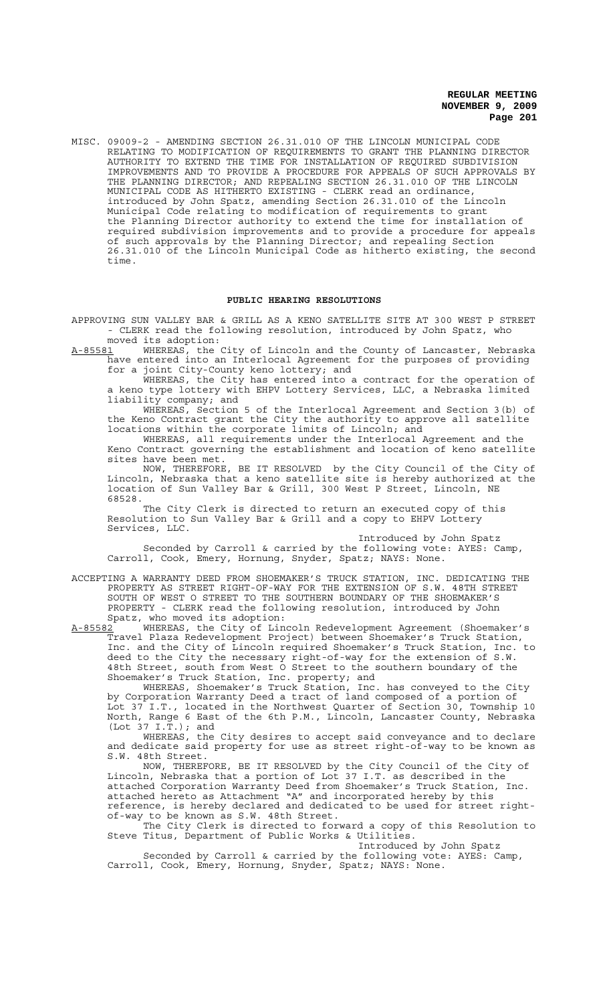MISC. 09009-2 - AMENDING SECTION 26.31.010 OF THE LINCOLN MUNICIPAL CODE RELATING TO MODIFICATION OF REQUIREMENTS TO GRANT THE PLANNING DIRECTOR AUTHORITY TO EXTEND THE TIME FOR INSTALLATION OF REQUIRED SUBDIVISION IMPROVEMENTS AND TO PROVIDE A PROCEDURE FOR APPEALS OF SUCH APPROVALS BY THE PLANNING DIRECTOR; AND REPEALING SECTION 26.31.010 OF THE LINCOLN MUNICIPAL CODE AS HITHERTO EXISTING - CLERK read an ordinance, introduced by John Spatz, amending Section 26.31.010 of the Lincoln Municipal Code relating to modification of requirements to grant the Planning Director authority to extend the time for installation of required subdivision improvements and to provide a procedure for appeals of such approvals by the Planning Director; and repealing Section 26.31.010 of the Lincoln Municipal Code as hitherto existing, the second time.

#### **PUBLIC HEARING RESOLUTIONS**

APPROVING SUN VALLEY BAR & GRILL AS A KENO SATELLITE SITE AT 300 WEST P STREET - CLERK read the following resolution, introduced by John Spatz, who

moved its adoption:<br>A-85581 WHEREAS, the WHEREAS, the City of Lincoln and the County of Lancaster, Nebraska have entered into an Interlocal Agreement for the purposes of providing for a joint City-County keno lottery; and

WHEREAS, the City has entered into a contract for the operation of a keno type lottery with EHPV Lottery Services, LLC, a Nebraska limited liability company; and

WHEREAS, Section 5 of the Interlocal Agreement and Section 3(b) of the Keno Contract grant the City the authority to approve all satellite locations within the corporate limits of Lincoln; and

WHEREAS, all requirements under the Interlocal Agreement and the Keno Contract governing the establishment and location of keno satellite sites have been met.

NOW, THEREFORE, BE IT RESOLVED by the City Council of the City of Lincoln, Nebraska that a keno satellite site is hereby authorized at the location of Sun Valley Bar & Grill, 300 West P Street, Lincoln, NE 68528.

The City Clerk is directed to return an executed copy of this Resolution to Sun Valley Bar & Grill and a copy to EHPV Lottery Services, LLC.

Introduced by John Spatz Seconded by Carroll & carried by the following vote: AYES: Camp, Carroll, Cook, Emery, Hornung, Snyder, Spatz; NAYS: None.

ACCEPTING A WARRANTY DEED FROM SHOEMAKER'S TRUCK STATION, INC. DEDICATING THE PROPERTY AS STREET RIGHT-OF-WAY FOR THE EXTENSION OF S.W. 48TH STREET SOUTH OF WEST O STREET TO THE SOUTHERN BOUNDARY OF THE SHOEMAKER'S PROPERTY - CLERK read the following resolution, introduced by John Spatz, who moved its adoption:<br>A-85582 WHEREAS, the City of Lin

WHEREAS, the City of Lincoln Redevelopment Agreement (Shoemaker's Travel Plaza Redevelopment Project) between Shoemaker's Truck Station, Inc. and the City of Lincoln required Shoemaker's Truck Station, Inc. to deed to the City the necessary right-of-way for the extension of S.W. 48th Street, south from West O Street to the southern boundary of the Shoemaker's Truck Station, Inc. property; and

WHEREAS, Shoemaker's Truck Station, Inc. has conveyed to the City by Corporation Warranty Deed a tract of land composed of a portion of Lot 37 I.T., located in the Northwest Quarter of Section 30, Township 10 North, Range 6 East of the 6th P.M., Lincoln, Lancaster County, Nebraska  $(Lot 37 I.\tilde{T}.)$ ; and

WHEREAS, the City desires to accept said conveyance and to declare and dedicate said property for use as street right-of-way to be known as S.W. 48th Street.

NOW, THEREFORE, BE IT RESOLVED by the City Council of the City of Lincoln, Nebraska that a portion of Lot 37 I.T. as described in the attached Corporation Warranty Deed from Shoemaker's Truck Station, Inc. attached hereto as Attachment "A" and incorporated hereby by this reference, is hereby declared and dedicated to be used for street rightof-way to be known as S.W. 48th Street.

The City Clerk is directed to forward a copy of this Resolution to Steve Titus, Department of Public Works & Utilities.

Introduced by John Spatz Seconded by Carroll & carried by the following vote: AYES: Camp, Carroll, Cook, Emery, Hornung, Snyder, Spatz; NAYS: None.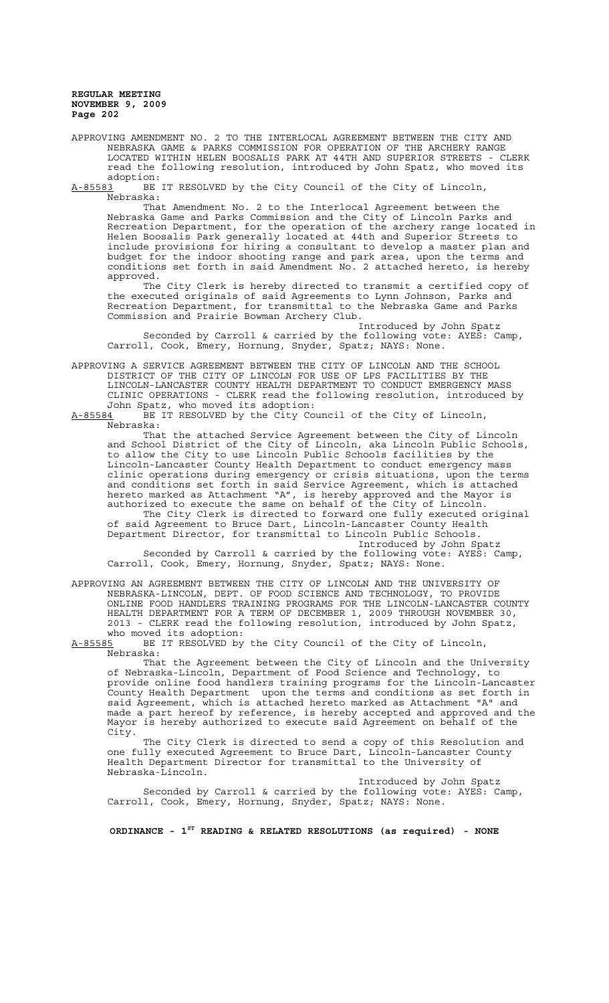APPROVING AMENDMENT NO. 2 TO THE INTERLOCAL AGREEMENT BETWEEN THE CITY AND NEBRASKA GAME & PARKS COMMISSION FOR OPERATION OF THE ARCHERY RANGE LOCATED WITHIN HELEN BOOSALIS PARK AT 44TH AND SUPERIOR STREETS - CLERK read the following resolution, introduced by John Spatz, who moved its

adoption:<br>A-85583 BE BE IT RESOLVED by the City Council of the City of Lincoln, Nebraska:

That Amendment No. 2 to the Interlocal Agreement between the Nebraska Game and Parks Commission and the City of Lincoln Parks and Recreation Department, for the operation of the archery range located in Helen Boosalis Park generally located at 44th and Superior Streets to include provisions for hiring a consultant to develop a master plan and budget for the indoor shooting range and park area, upon the terms and conditions set forth in said Amendment No. 2 attached hereto, is hereby approved.

The City Clerk is hereby directed to transmit a certified copy of the executed originals of said Agreements to Lynn Johnson, Parks and Recreation Department, for transmittal to the Nebraska Game and Parks Commission and Prairie Bowman Archery Club.

Introduced by John Spatz Seconded by Carroll & carried by the following vote: AYES: Camp, Carroll, Cook, Emery, Hornung, Snyder, Spatz; NAYS: None.

APPROVING A SERVICE AGREEMENT BETWEEN THE CITY OF LINCOLN AND THE SCHOOL DISTRICT OF THE CITY OF LINCOLN FOR USE OF LPS FACILITIES BY THE LINCOLN-LANCASTER COUNTY HEALTH DEPARTMENT TO CONDUCT EMERGENCY MASS CLINIC OPERATIONS - CLERK read the following resolution, introduced by John Spatz, who moved its adoption:

A-85584 BE IT RESOLVED by the City Council of the City of Lincoln, Nebraska:

That the attached Service Agreement between the City of Lincoln and School District of the City of Lincoln, aka Lincoln Public Schools, to allow the City to use Lincoln Public Schools facilities by the Lincoln-Lancaster County Health Department to conduct emergency mass clinic operations during emergency or crisis situations, upon the terms and conditions set forth in said Service Agreement, which is attached hereto marked as Attachment "A", is hereby approved and the Mayor is authorized to execute the same on behalf of the City of Lincoln.

The City Clerk is directed to forward one fully executed original of said Agreement to Bruce Dart, Lincoln-Lancaster County Health Department Director, for transmittal to Lincoln Public Schools.

Introduced by John Spatz Seconded by Carroll & carried by the following vote: AYES: Camp, Carroll, Cook, Emery, Hornung, Snyder, Spatz; NAYS: None.

APPROVING AN AGREEMENT BETWEEN THE CITY OF LINCOLN AND THE UNIVERSITY OF NEBRASKA-LINCOLN, DEPT. OF FOOD SCIENCE AND TECHNOLOGY, TO PROVIDE ONLINE FOOD HANDLERS TRAINING PROGRAMS FOR THE LINCOLN-LANCASTER COUNTY HEALTH DEPARTMENT FOR A TERM OF DECEMBER 1, 2009 THROUGH NOVEMBER 30, 2013 - CLERK read the following resolution, introduced by John Spatz,

who moved its adoption:<br>A-85585 BE IT RESOLVED by BE IT RESOLVED by the City Council of the City of Lincoln, Nebraska:

That the Agreement between the City of Lincoln and the University of Nebraska-Lincoln, Department of Food Science and Technology, to provide online food handlers training programs for the Lincoln-Lancaster County Health Department upon the terms and conditions as set forth in said Agreement, which is attached hereto marked as Attachment "A" and made a part hereof by reference, is hereby accepted and approved and the Mayor is hereby authorized to execute said Agreement on behalf of the City.

The City Clerk is directed to send a copy of this Resolution and one fully executed Agreement to Bruce Dart, Lincoln-Lancaster County Health Department Director for transmittal to the University of Nebraska-Lincoln.

Introduced by John Spatz Seconded by Carroll & carried by the following vote: AYES: Camp, Carroll, Cook, Emery, Hornung, Snyder, Spatz; NAYS: None.

**ORDINANCE - 1ST READING & RELATED RESOLUTIONS (as required) - NONE**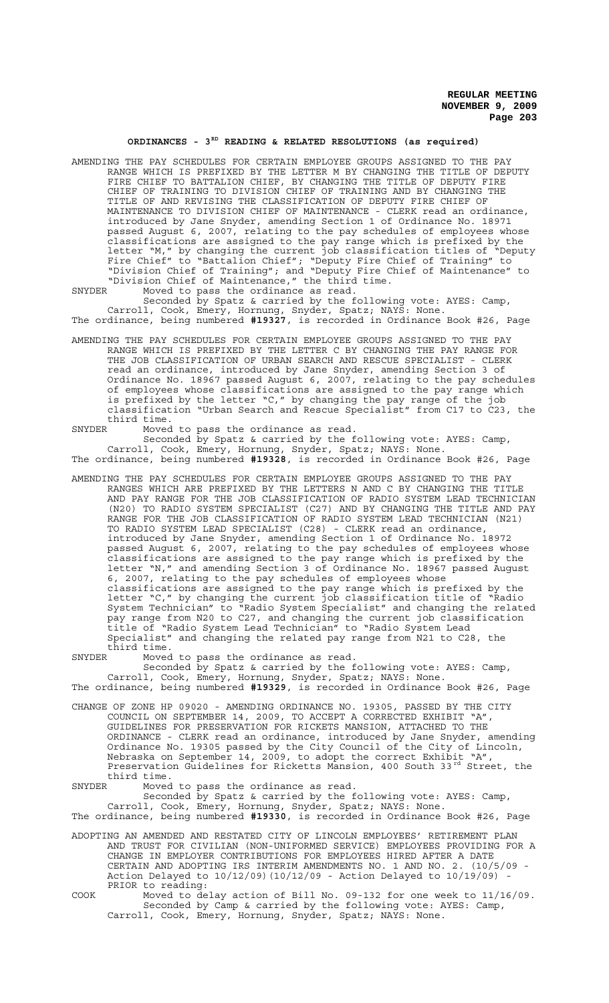# ORDINANCES - 3<sup>RD</sup> READING & RELATED RESOLUTIONS (as required)

AMENDING THE PAY SCHEDULES FOR CERTAIN EMPLOYEE GROUPS ASSIGNED TO THE PAY RANGE WHICH IS PREFIXED BY THE LETTER M BY CHANGING THE TITLE OF DEPUTY FIRE CHIEF TO BATTALION CHIEF, BY CHANGING THE TITLE OF DEPUTY FIRE CHIEF OF TRAINING TO DIVISION CHIEF OF TRAINING AND BY CHANGING THE TITLE OF AND REVISING THE CLASSIFICATION OF DEPUTY FIRE CHIEF OF MAINTENANCE TO DIVISION CHIEF OF MAINTENANCE - CLERK read an ordinance, introduced by Jane Snyder, amending Section 1 of Ordinance No. 18971 passed August 6, 2007, relating to the pay schedules of employees whose classifications are assigned to the pay range which is prefixed by the letter "M," by changing the current job classification titles of "Deputy Fire Chief" to "Battalion Chief"; "Deputy Fire Chief of Training" to "Division Chief of Training"; and "Deputy Fire Chief of Maintenance" to "Division Chief of Maintenance," the third time.

SNYDER Moved to pass the ordinance as read.

Seconded by Spatz & carried by the following vote: AYES: Camp, Carroll, Cook, Emery, Hornung, Snyder, Spatz; NAYS: None. The ordinance, being numbered **#19327**, is recorded in Ordinance Book #26, Page

AMENDING THE PAY SCHEDULES FOR CERTAIN EMPLOYEE GROUPS ASSIGNED TO THE PAY RANGE WHICH IS PREFIXED BY THE LETTER C BY CHANGING THE PAY RANGE FOR THE JOB CLASSIFICATION OF URBAN SEARCH AND RESCUE SPECIALIST - CLERK read an ordinance, introduced by Jane Snyder, amending Section 3 of Ordinance No. 18967 passed August 6, 2007, relating to the pay schedules of employees whose classifications are assigned to the pay range which is prefixed by the letter "C," by changing the pay range of the job classification "Urban Search and Rescue Specialist" from C17 to C23, the third time.

SNYDER Moved to pass the ordinance as read.

Seconded by Spatz & carried by the following vote: AYES: Camp, Carroll, Cook, Emery, Hornung, Snyder, Spatz; NAYS: None. The ordinance, being numbered **#19328**, is recorded in Ordinance Book #26, Page

AMENDING THE PAY SCHEDULES FOR CERTAIN EMPLOYEE GROUPS ASSIGNED TO THE PAY RANGES WHICH ARE PREFIXED BY THE LETTERS N AND C BY CHANGING THE TITLE AND PAY RANGE FOR THE JOB CLASSIFICATION OF RADIO SYSTEM LEAD TECHNICIAN (N20) TO RADIO SYSTEM SPECIALIST (C27) AND BY CHANGING THE TITLE AND PAY RANGE FOR THE JOB CLASSIFICATION OF RADIO SYSTEM LEAD TECHNICIAN (N21) TO RADIO SYSTEM LEAD SPECIALIST (C28) - CLERK read an ordinance, introduced by Jane Snyder, amending Section 1 of Ordinance No. 18972 passed August 6, 2007, relating to the pay schedules of employees whose classifications are assigned to the pay range which is prefixed by the letter "N," and amending Section 3 of Ordinance No. 18967 passed August 6, 2007, relating to the pay schedules of employees whose classifications are assigned to the pay range which is prefixed by the letter "C," by changing the current job classification title of "Radio System Technician" to "Radio System Specialist" and changing the related pay range from N20 to C27, and changing the current job classification title of "Radio System Lead Technician" to "Radio System Lead Specialist" and changing the related pay range from N21 to C28, the third time.<br>SNYDER Moved

SNYDER Moved to pass the ordinance as read.

Seconded by Spatz & carried by the following vote: AYES: Camp, Carroll, Cook, Emery, Hornung, Snyder, Spatz; NAYS: None. The ordinance, being numbered **#19329**, is recorded in Ordinance Book #26, Page

- CHANGE OF ZONE HP 09020 AMENDING ORDINANCE NO. 19305, PASSED BY THE CITY COUNCIL ON SEPTEMBER 14, 2009, TO ACCEPT A CORRECTED EXHIBIT "A", GUIDELINES FOR PRESERVATION FOR RICKETS MANSION, ATTACHED TO THE ORDINANCE - CLERK read an ordinance, introduced by Jane Snyder, amending Ordinance No. 19305 passed by the City Council of the City of Lincoln, Nebraska on September 14, 2009, to adopt the correct Exhibit "A", Preservation Guidelines for Ricketts Mansion, 400 South 33rd Street, the third time.<br>SNYDER Moved
- Moved to pass the ordinance as read.

Seconded by Spatz & carried by the following vote: AYES: Camp, Carroll, Cook, Emery, Hornung, Snyder, Spatz; NAYS: None. The ordinance, being numbered **#19330**, is recorded in Ordinance Book #26, Page

- ADOPTING AN AMENDED AND RESTATED CITY OF LINCOLN EMPLOYEES' RETIREMENT PLAN AND TRUST FOR CIVILIAN (NON-UNIFORMED SERVICE) EMPLOYEES PROVIDING FOR A CHANGE IN EMPLOYER CONTRIBUTIONS FOR EMPLOYEES HIRED AFTER A DATE CERTAIN AND ADOPTING IRS INTERIM AMENDMENTS NO. 1 AND NO. 2. Action Delayed to  $10/12/09$  (10/12/09 - Action Delayed to  $10/19/09$ ) PRIOR to reading:
- COOK Moved to delay action of Bill No. 09-132 for one week to 11/16/09. Seconded by Camp & carried by the following vote: AYES: Camp, Carroll, Cook, Emery, Hornung, Snyder, Spatz; NAYS: None.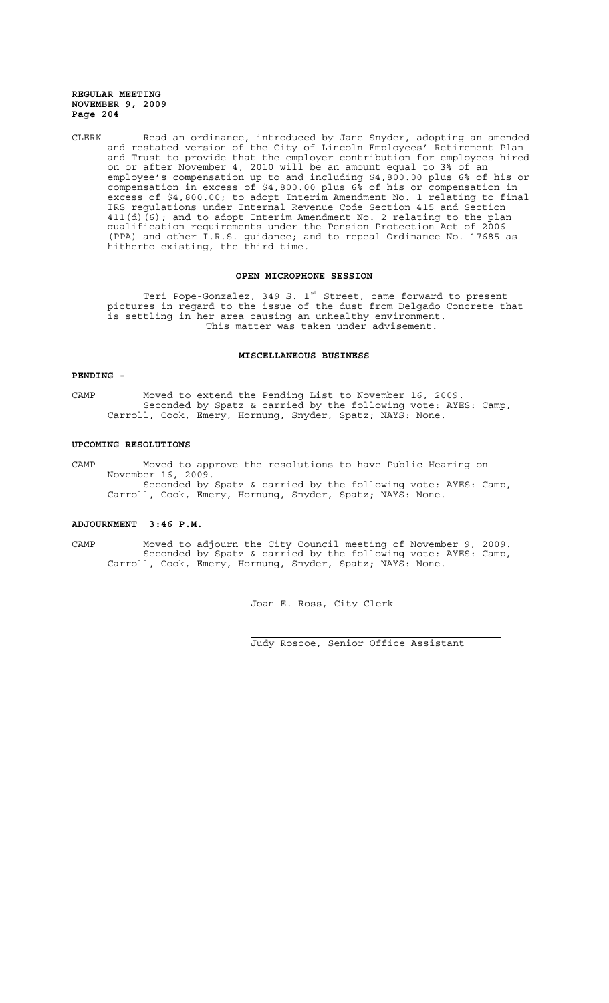CLERK Read an ordinance, introduced by Jane Snyder, adopting an amended and restated version of the City of Lincoln Employees' Retirement Plan and Trust to provide that the employer contribution for employees hired on or after November 4, 2010 will be an amount equal to 3% of an employee's compensation up to and including \$4,800.00 plus 6% of his or compensation in excess of \$4,800.00 plus 6% of his or compensation in excess of \$4,800.00; to adopt Interim Amendment No. 1 relating to final IRS regulations under Internal Revenue Code Section 415 and Section 411(d)(6); and to adopt Interim Amendment No. 2 relating to the plan qualification requirements under the Pension Protection Act of 2006 (PPA) and other I.R.S. guidance; and to repeal Ordinance No. 17685 as hitherto existing, the third time.

# **OPEN MICROPHONE SESSION**

Teri Pope-Gonzalez, 349 S. 1<sup>st</sup> Street, came forward to present pictures in regard to the issue of the dust from Delgado Concrete that is settling in her area causing an unhealthy environment. This matter was taken under advisement.

## **MISCELLANEOUS BUSINESS**

# **PENDING -**

CAMP Moved to extend the Pending List to November 16, 2009. Seconded by Spatz & carried by the following vote: AYES: Camp, Carroll, Cook, Emery, Hornung, Snyder, Spatz; NAYS: None.

## **UPCOMING RESOLUTIONS**

CAMP Moved to approve the resolutions to have Public Hearing on November 16, 2009. Seconded by Spatz & carried by the following vote: AYES: Camp, Carroll, Cook, Emery, Hornung, Snyder, Spatz; NAYS: None.

## **ADJOURNMENT 3:46 P.M.**

CAMP Moved to adjourn the City Council meeting of November 9, 2009. Seconded by Spatz & carried by the following vote: AYES: Camp, Carroll, Cook, Emery, Hornung, Snyder, Spatz; NAYS: None.

 $\overline{a}$ 

i

Joan E. Ross, City Clerk

Judy Roscoe, Senior Office Assistant